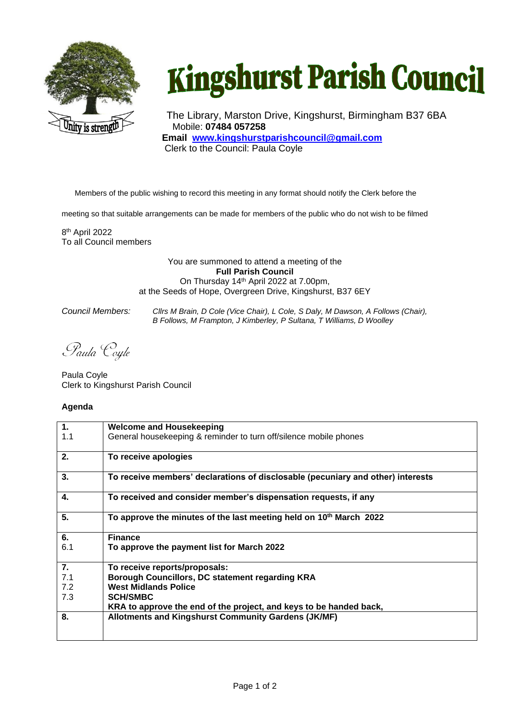

## **Kingshurst Parish Council**

The Library, Marston Drive, Kingshurst, Birmingham B37 6BA Mobile: **07484 057258 Email [www.kingshurstparishcouncil@gmail.com](http://www.kingshurstparishcouncil@gmail.com)** Clerk to the Council: Paula Coyle

Members of the public wishing to record this meeting in any format should notify the Clerk before the

meeting so that suitable arrangements can be made for members of the public who do not wish to be filmed

8 th April 2022 To all Council members

> You are summoned to attend a meeting of the **Full Parish Council** On Thursday 14<sup>th</sup> April 2022 at 7.00pm, at the Seeds of Hope, Overgreen Drive, Kingshurst, B37 6EY

*Council Members: Cllrs M Brain, D Cole (Vice Chair), L Cole, S Daly, M Dawson, A Follows (Chair), B Follows, M Frampton, J Kimberley, P Sultana, T Williams, D Woolley*

Paula Coyle

Paula Coyle Clerk to Kingshurst Parish Council

## **Agenda**

| 1.  | <b>Welcome and Housekeeping</b>                                                 |
|-----|---------------------------------------------------------------------------------|
| 1.1 | General housekeeping & reminder to turn off/silence mobile phones               |
| 2.  | To receive apologies                                                            |
| 3.  | To receive members' declarations of disclosable (pecuniary and other) interests |
| 4.  | To received and consider member's dispensation requests, if any                 |
| 5.  | To approve the minutes of the last meeting held on 10 <sup>th</sup> March 2022  |
| 6.  | <b>Finance</b>                                                                  |
| 6.1 | To approve the payment list for March 2022                                      |
| 7.  | To receive reports/proposals:                                                   |
| 7.1 | Borough Councillors, DC statement regarding KRA                                 |
| 7.2 | <b>West Midlands Police</b>                                                     |
| 7.3 | <b>SCH/SMBC</b>                                                                 |
|     | KRA to approve the end of the project, and keys to be handed back,              |
| 8.  | Allotments and Kingshurst Community Gardens (JK/MF)                             |